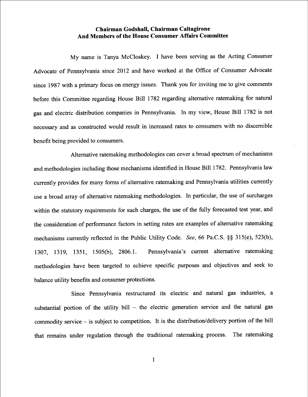## Chairman Godshall, Chairman Caltagirone And Members of the House Consumer Affairs Committee

My name is Tanya McCloskey. I have been serving as the Acting Consumer Advocate of Pennsylvania since 2012 and have worked at the Office of Consumer Advocate since 1987 with a primary focus on energy issues. Thank you for inviting me to give comments before this Committee regarding House Bill 1782 regarding alternative ratemaking for natural gas and electric distribution companies in Pennsylvania. In my view, House Bill 1 782 is not necessary and as constructed would result in increased rates to consumers with no discemible benefit being provided to consumers.

Altemative ratemaking methodologies can cover a broad spectrum of mechanisms and methodologies including those mechanisms identified in House Bill 1 782. Pennsylvania law currently provides for many forms of altemative ratemaking and Pennsylvania utilities currently use a broad array of alternative ratemaking methodologies. In particular, the use of surcharges within the statutory requirements for such charges, the use of the fully forecasted test year, and the consideration of performance factors in setting rates are examples of altemative ratemaking mechanisms currently reflected in the Public Utility Code. See, 66 Pa.C.S. §§ 315(e), 523(b), 1307, 1319, 1351, 1505(b), 2806.1. Pennsylvania's current altemative ratemaking methodologies have been targeted to achieve specific purposes and objectives and seek to balance utility benefits and consumer protections.

Since Pennsylvania restructured its electric and natural gas industries, a substantial portion of the utility bill  $-$  the electric generation service and the natural gas commodity service - is subject to competition. It is the distribution/delivery portion of the bill that remains under regulation through the traditional ratemaking process. The ratemaking

l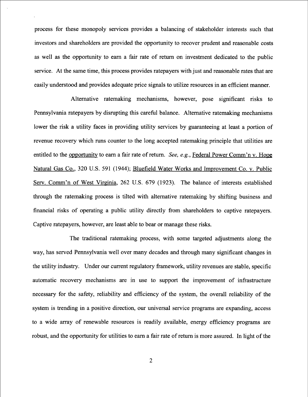process for these monopoly services provides a balancing of stakeholder interests such that investors and shareholders are provided the opportunity to recover prudent and reasonable costs as well as the opportunity to eam a fair rate of retum on investment dedicated to the public service. At the same time, this process provides ratepayers with just and reasonable rates that are easily understood and provides adequate price signals to utilize resources in an efficient manner.

Altemative ratemaking mechanisms, however, pose significant risks to Pennsylvania ratepayers by disrupting this careful balance. Alternative ratemaking mechanisms lower the risk a utility faces in providing utility services by guaranteeing at least a portion of revenue recovery which runs counter to the long accepted ratemaking principle that utilities are entitled to the opportunity to earn a fair rate of return. See, e.g., Federal Power Comm'n v. Hope Natural Gas Co., 320 U.S. 591 (1944); Bluefield Water Works and Improvement Co. v. Public Serv. Comm'n of West Virginia, 262 U.S. 679 (1923). The balance of interests established through the ratemaking process is tilted with altemative ratemaking by shifting business and financial risks of operating a public utility directly from shareholders to captive ratepayers. Captive ratepayers, however, are least able to bear or manage these risks.

The traditional ratemaking process, with some targeted adjustments along the way, has served Pennsylvania well over many decades and through many significant changes in the utility industry. Under our current regulatory framework, utility revenues are stable, specific automatic recovery mechanisms are in use to support the improvement of infrastructure necessary for the safety, reliability and efficiency of the system, the overall reliability of the system is trending in a positive direction, our universal service programs are expanding, access to a wide array of renewable resources is readily available, energy efficiency programs are robust, and the opportunity for utilities to eam a fair rate of retum is more assured. In light of the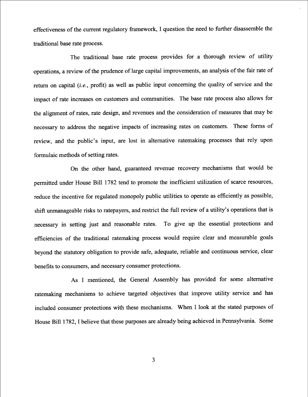effectiveness of the current regulatory framework, lquestion the need to further disassemble the traditional base rate process.

The traditional base rate process provides for a thorough review of utility operations, a review of the prudence of large capital improvements, an analysis of the fair rate of return on capital (*i.e.*, profit) as well as public input concerning the quality of service and the impact of rate increases on customers and communities. The base rate process also allows for the alignment of rates, rate design, and revenues and the consideration of measures that may be necessary to address the negative impacts of increasing rates on customers. These forms of review, and the public's input, are lost in altemative ratemaking processes that rely upon formulaic methods of setting rates.

On the other hand, guaranteed revenue recovery mechanisms that would be permitted under House Bill 1782 tend to promote the inefficient utilization of scarce resources, reduce the incentive for regulated monopoly public utilities to operate as efficiently as possible, shift unmanageable risks to ratepayers, and restrict the full review of a utility's operations that is necessary in setting just and reasonable rates. To give up the essential protections and efficiencies of the traditional ratemaking process would require clear and measurable goals beyond the statutory obligation to provide safe, adequate, reliable and continuous service, clear benefits to consumers, and necessary consumer protections.

As I mentioned, the General Assembly has provided for some alternative ratemaking mechanisms to achieve targeted objectives that improve utility service and has included consumer protections with these mechanisms. When I look at the stated purposes of House Bill 1782, I believe that these purposes are already being achieved in Pennsylvania. Some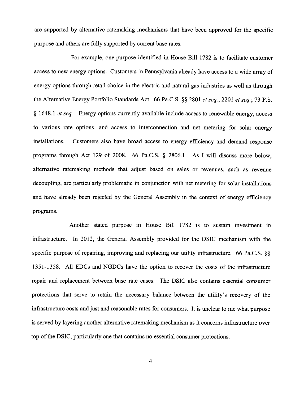are supported by alternative ratemaking mechanisms that have been approved for the specific purpose and others are fully supported by current base rates.

For example, one purpose identified in House Bill 1782 is to facilitate customer access to new energy options. Customers in Pennsylvania already have access to a wide array of energy options through retail choice in the electric and natural gas industries as well as through the Alternative Energy Portfolio Standards Act. 66 Pa.C.S. §§ 2801 et seq., 2201 et seq.; 73 P.S. § 1648.1 *et seq.* Energy options currently available include access to renewable energy, access to various rate options, and access to interconnection and net metering for solar energy installations. Customers also have broad access to energy efficiency and demand response programs through Act 129 of 2008. 66 Pa.C.S. \$ 2806.1. As I will discuss more below, altemative ratemaking methods that adjust based on sales or revenues, such as revenue decoupling, are particularly problematic in conjunction with net metering for solar installations and have already been rejected by the General Assembly in the context of energy efficiency programs.

Another stated purpose in House Bill 1782 is to sustain investment in infrastructure. In 2012, the General Assembly provided for the DSIC mechanism with the specific purpose of repairing, improving and replacing our utility infrastructure. 66 Pa.C.S.  $\&$ 1351-1358. All EDCs and NGDCs have the option to recover the costs of the infrastructure repair and replacement between base rate cases. The DSIC also contains essential consumer protections that serve to retain the necessary balance between the utility's recovery of the infrastructure costs and just and reasonable rates for consumers. It is unclear to me what purpose is served by layering another altemative ratemaking mechanism as it concerns infrastructure over top of the DSIC, particularly one that contains no essential consumer protections.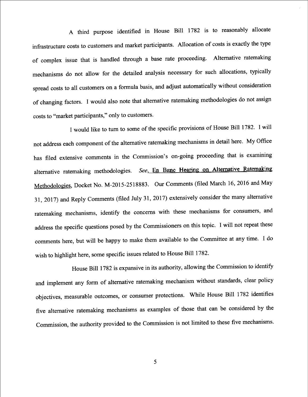A third purpose identified in House Bill 1782 is to reasonably allocate infrastructure costs to customers and market participants. Allocation of costs is exactly the type of complex issue that is handled through a base rate proceeding. Altemative ratemaking mechanisms do not allow for the detailed analysis necessary for such allocations, typically spread costs to all customers on a formula basis, and adjust automatically without consideration of changing factors. ] would also note that altemative ratemaking methodologies do not assign costs to "market participants," only to customers.

I would like to turn to some of the specific provisions of House Bill 1782. I will not address each component of the altemative ratemaking mechanisms in detail here. My Office has filed extensive comments in the Commission's on-going proceeding that is examining alternative ratemaking methodologies. See, En Banc Hearing on Alternative Ratemaking Methodologies, Docket No. M-2015-2518883. Our Comments (filed March 16, 2016 and May 31, 2017) and Reply Comments (filed July 31, 2017) extensively consider the many alternative ratemaking mechanisms, identify the concerns with these mechanisms for consumers, and address the specific questions posed by the Commissioners on this topic. I will not repeat these comments here, but will be happy to make them available to the Committee at any time. Ido wish to highlight here, some specific issues related to House Bill 1782.

House Bill 1782 is expansive in its authority, allowing the Commission to identify and implement any form of alternative ratemaking mechanism without standards, clear policy objectives, measumble outcomes, or consumer protections. While House Bill 1782 identifies five altemative ratemaking mechanisms as examples of those that can be considered by the Commission, the authority provided to the Commission is not limited to these five mechanisms.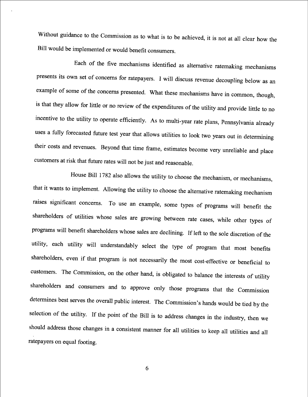Without guidance to the Commission as to what is to be achieved, it is not at all clear how the Bill would be implemented or would benefit consumers.

Each of the five mechanisms identified as altemative ratemaking mechanisms presents its own set of concerns for ratepayers. I will discuss revenue decoupling below as an example of some of the concems presented. What these mechanisms have in common, though, is that they allow for little or no review of the expenditures of the utility and provide little to no incentive to the utility to operate efficiently. As to multi-year rate plans, Pennsylvania already uses a fully forecasted future test year that allows utilities to look two years out in determining their costs and revenues. Beyond that time frame, estimates become very unreliable and place customers at risk that future rates will not be just and reasonable.

House Bill 1782 also allows the utility to choose the mechanism, or mechanisms, that it wants to implement. Allowing the utility to choose the altemative ratemaking mechanism raises significant concerns. To use an example, some types of programs will benefit the shareholders of utilities whose sales are growing between rate cases, while other types of programs will benefit shareholders whose sales are declining. If left to the sole discretion of the utility, each utility will understandably select the type of program that most benefits shareholders, even if that program is not necessarily the most cost-effective or beneficial to customers. The Commission, on the other hand, is obligated to balance the interests of utility shareholders and consumers and to approve only those programs that the Commission determines best serves the overall public interest. The Commission's hands would be tied by the selection of the utility. If the point of the Bill is to address changes in the industry, then we should address those changes in a consistent manner for all utilities to keep all utilities and all ratepayers on equal footing.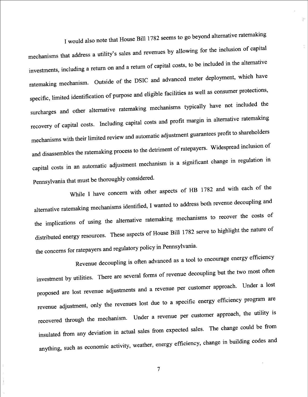I would also note that House Bill 1 782 seems to go beyond altemative ratemaking

H

mechanisms that address a utility's sales and revenues by allowing for the inclusion of capital investments, including a retum on and a retum of capital costs, to be included in the altemative ratemaking mechanism. Outside of the DSIC and advanced meter deployment, which have specific, limited identification of purpose and eligible facilities as well as consumer protections, surcharges and other altemative ratemaking mechanisms typically have not included the recovery of capital costs. Including capital costs and profit margin in altemative ratemaking mechanisms with their limited review and automatic adjustment guarantees profit to shareholders and disassembles the ratemaking process to the detriment of ratepayers. Widespread inclusion of capital costs in an automatic adjustment mechanism is a significant change in regulation in Pennsylvania that must be thoroughly considered.

While I have concern with other aspects of HB 1782 and with each of the alternative ratemaking mechanisms identified, I wanted to address both revenue decoupling and the implications of using the alternative ratemaking mechanisms to recover the costs of distributed energy resources. These aspects of House Bill 1782 serve to highlight the nature of the concems for ratepayers and regulatory policy in Pennsylvania.

Revenue decoupling is often advanced as a tool to encourage energy efficiency investment by utilities. There are several forms of revenue decoupling but the two most often proposed are lost revenue adjustments and a revenue per customer approach. Under a lost revenue adjustment, only the revenues lost due to a specific energy efficiency program are recovered through the mechanism. Under a revenue per customer approach, the utility is insulated from any deviation in actual sales from expected sales. The change could be from anything, such as economic activity, weather, energy efficiency, change in building codes and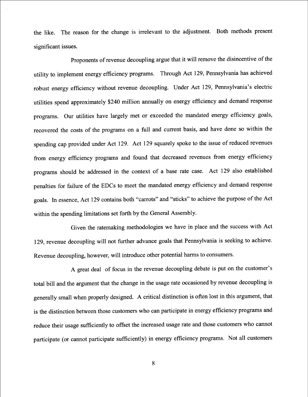the like. The reason for the change is irrelevant to the adjustment. Both methods present significant issues.

Proponents of revenue decoupling argue that it will remove the disincentive of the utility to implement energy efficiency programs. Through Act 129, Pennsylvania has achieved robust energy efficiency without revenue decoupling. Under Act 129, Pennsylvania's electric utilities spend approximately \$240 million annually on energy efficiency and demand response programs. Our utilities have largely met or exceeded the mandated energy efficiency goals, recovered the costs of the programs on a full and current basis, and have done so within the spending cap provided under Act 129. Act 129 squarely spoke to the issue of reduced revenues from energy efficiency programs and found that decreased revenues from energy efficiency programs should be addressed in the context of a base rate case. Act 129 also established penalties for failure of the EDCs to meet the mandated energy efficiency and demand response goals. In essence, Act 129 contains both "carrots" and "sticks" to achieve the purpose of the Act within the spending limitations set forth by the General Assembly.

Given the ratemaking methodologies we have in place and the success with Act 1 29, revenue decoupling will not further advance goals that Pennsylvania is seeking to achieve. Revenue decoupling, however, will introduce other potential hamas to consumers.

A great deal of focus in the revenue decoupling debate is put on the customer's total bill and the argument that the change in the usage rate occasioned by revenue decoupling is generally small when properly designed. A critical distinction is often lost in this argument, that is the distinction between those customers who can participate in energy efficiency programs and reduce their usage sufficiently to offset the increased usage rate and those customers who cannot participate (or cannot participate sufficiently) in energy efficiency programs. Not all customers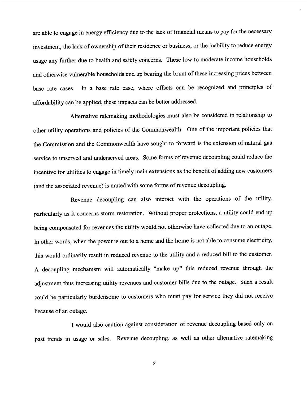are able to engage in energy efficiency due to the lack of financial means to pay for the necessary investment, the lack of ownership of their residence or business, or the inability to reduce energy usage any further due to health and safety concems. These low to moderate income households and otherwise vulnerable households end up bearing the brunt of these increasing prices between base rate cases. In a base rate case, where offsets can be recognized and principles of affordability can be applied, these impacts can be better addressed.

Alternative ratemaking methodologies must also be considered in relationship to other utility operations and policies of the Commonwealth. One of the important policies that the Commission and the Commonwealth have sought to forward is the extension of natural gas service to unserved and underserved areas. Some forms of revenue decoupling could reduce the incentive for utilities to engage in timely main extensions as the benefit of adding new customers (and the associated revenue) is muted with some forms of revenue decoupling.

Revenue decoupling can also interact with the operations of the utility, particularly as it concems storm restoration. Without proper protections, a utility could end up being compensated for revenues the utility would not otherwise have collected due to an outage. In other words, when the power is out to a home and the home is not able to consume electricity, this would ordinarily result in reduced revenue to the utility and a reduced bill to the customer. A decoupling mechanism will automatically "make up" this reduced revenue through the adjustment thus increasing utility revenues and customer bills due to the outage. Such a result could be particularly burdensome to customers who must pay for service they did not receive because of an outage.

I would also caution against consideration of revenue decoupling based only on past trends in usage or sales. Revenue decoupling, as well as other altemative ratemaking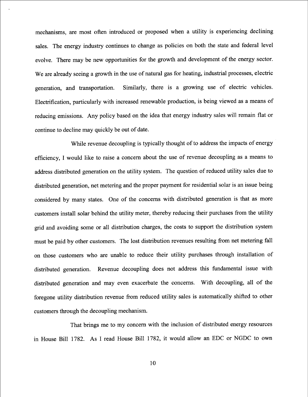mechanisms, are most often introduced or proposed when a utility is experiencing declining sales. The energy industry continues to change as policies on both the state and federal level evolve. There may be new opportunities for the growth and development of the energy sector. We are already seeing a growth in the use of natural gas for heating, industrial processes, electric generation, and transportation. Similarly, there is a growing use of electric vehicles. Electrification, particularly with increased renewable production, is being viewed as a means of reducing emissions. Any policy based on the idea that energy industry sales will remain flat or continue to decline may quickly be out of date.

While revenue decoupling is typically thought of to address the impacts of energy efficiency, I would like to raise a concern about the use of revenue decoupling as a means to address distributed generation on the utility system. The question of reduced utility sales due to distributed generation, net metering and the proper payment for residential solar is an issue being considered by many states. One of the concems with distributed generation is that as more customers install solar behind the utility meter, thereby reducing their purchases from the utility grid and avoiding some or ajl distribution charges, the costs to support the distribution system must be paid by other customers. The lost distribution revenues resulting from net metering fall on those customers who are unable to reduce their utility purchases through installation of distributed generation. Revenue decoupling does not address this fundamental issue with distributed generation and may even exacerbate the concerns. With decoupling, all of the foregone utility distribution revenue from reduced utility sales is automatically shifted to other customers through the decoupling mechanism.

That brings me to my concem with the inclusion of distributed energy resources in House Bill 1782. As I read House Bill 1782, it would allow an EDC or NGDC to own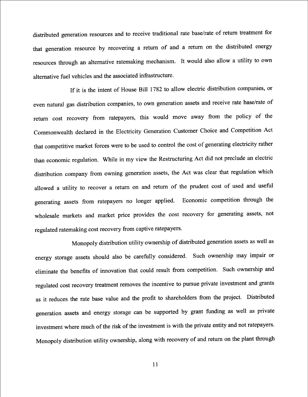distributed generation resources and to receive traditional rate base/rate of retum treatment for that generation resource by recovering a retum of and a retum on the distributed energy resources through an altemative ratemaking mechanism. It would also allow a utility to own alternative fuel vehicles and the associated infrastructure.

If it is the intent of House Bill 1782 to allow electric distribution companies, or even natural gas distribution companies, to own generation assets and receive rate base/rate of return cost recovery from ratepayers, this would move away from the policy of the Commonwealth declared in the Electricity Generation Customer Choice and Competition Act that competitive market forces were to be used to control the cost of generating electricity rather than economic regulation. While in my view the Restructuring Act did not preclude an electric distribution company from owning generation assets, the Act was clear that regulation which allowed a utility to recover a retum on and retum of the prudent cost of used and useful generating assets hom ratepayers no longer applied. Economic competition through the wholesale markets and market price provides the cost recovery for generating assets, not regulated ratemaking cost recovery from captive ratepayers-

Monopoly distribution utility ownership of distributed generation assets as well as energy storage assets should also be carefully considered. Such ownership may impair or eliminate the benefits of innovation that could result from competition. Such ownership and regulated cost recovery treatment removes the incentive to pursue private investment and grants as it reduces the rate base value and the profit to shareholders from the project. Distributed generation assets and energy storage can be supported by grant finding as well as private investment where much of the risk of the investment is with the private entity and not ratepayers. Monopoly distribution utility ownership, along with recovery of and retum on the plant through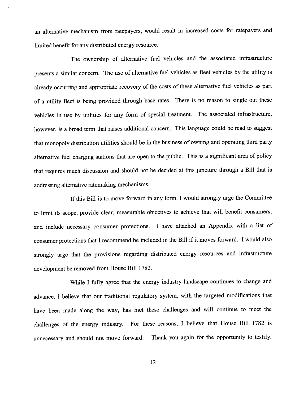an alternative mechanism from ratepayers, would result in increased costs for ratepayers and limited benefit for any distributed energy resource.

The ownership of alternative fuel vehicles and the associated infrastructure presents a similar concern. The use of alternative fuel vehicles as fleet vehicles by the utility is already occurring and appropriate recovery of the costs of these alternative fuel vehicles as part of a utility fleet is being provided through base rates. There is no reason to single out these vehicles in use by utilities for any form of special treatment. The associated infrastructure, however, is a broad term that raises additional concem. This language could be read to suggest that monopoly distribution utilities should be in the business of owning and operating third party altemative fuel charging stations that are open to the public. This is a significant area of policy that requires much discussion and should not be decided at this juncture through a Bill that is addressing altemative ratemaking mechanisms.

If this Bill is to move forward in any form, I would strongly urge the Committee to limit its scope, provide clear, measurable objectives to achieve that will benefit consumers, and include necessary consumer protections. I have attached an Appendix with a list of consumer protections that I recommend be included in the Bill if it moves forward. I would also strongly urge that the provisions regarding distributed energy resources and infrastructure development be removed from House Bill 1782.

While I fully agree that the energy industry landscape continues to change and advance, I believe that our traditional regulatory system, with the targeted modifications that have been made along the way, has met these challenges and will continue to meet the challenges of the energy industry. For these reasons, I believe that House Bill 1782 is unnecessary and should not move forward. Thank you again for the opportunity to testify.